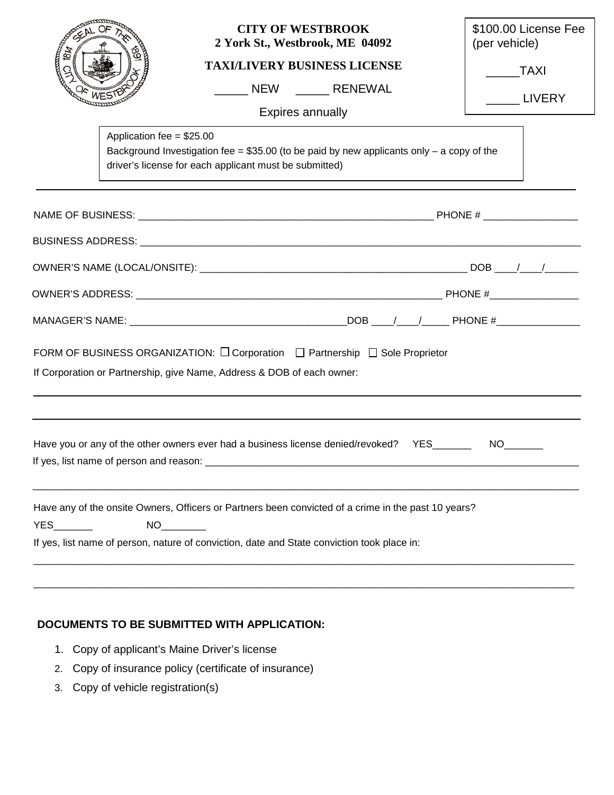| <b>18k</b>                                                                                | <b>CITY OF WESTBROOK</b><br>2 York St., Westbrook, ME 04092                                                                                                                                                           | \$100.00 License Fee<br>(per vehicle) |  |  |
|-------------------------------------------------------------------------------------------|-----------------------------------------------------------------------------------------------------------------------------------------------------------------------------------------------------------------------|---------------------------------------|--|--|
|                                                                                           | <b>TAXI/LIVERY BUSINESS LICENSE</b>                                                                                                                                                                                   | <b>TAXI</b>                           |  |  |
|                                                                                           | NEW RENEWAL                                                                                                                                                                                                           | LIVERY                                |  |  |
|                                                                                           | <b>Expires annually</b>                                                                                                                                                                                               |                                       |  |  |
| Application fee = $$25.00$                                                                | Background Investigation fee = $$35.00$ (to be paid by new applicants only - a copy of the<br>driver's license for each applicant must be submitted)                                                                  |                                       |  |  |
|                                                                                           |                                                                                                                                                                                                                       |                                       |  |  |
|                                                                                           |                                                                                                                                                                                                                       |                                       |  |  |
|                                                                                           |                                                                                                                                                                                                                       |                                       |  |  |
|                                                                                           |                                                                                                                                                                                                                       |                                       |  |  |
|                                                                                           |                                                                                                                                                                                                                       |                                       |  |  |
|                                                                                           | FORM OF BUSINESS ORGANIZATION: O Corporation <sub>D</sub> Partnership  O Sole Proprietor<br>If Corporation or Partnership, give Name, Address & DOB of each owner:                                                    |                                       |  |  |
| Have you or any of the other owners ever had a business license denied/revoked? YES______ |                                                                                                                                                                                                                       |                                       |  |  |
| <b>YES</b>                                                                                | Have any of the onsite Owners, Officers or Partners been convicted of a crime in the past 10 years?<br>NO <sub>2</sub><br>If yes, list name of person, nature of conviction, date and State conviction took place in: |                                       |  |  |
|                                                                                           |                                                                                                                                                                                                                       |                                       |  |  |

## **DOCUMENTS TO BE SUBMITTED WITH APPLICATION:**

- 1. Copy of applicant's Maine Driver's license
- 2. Copy of insurance policy (certificate of insurance)
- 3. Copy of vehicle registration(s)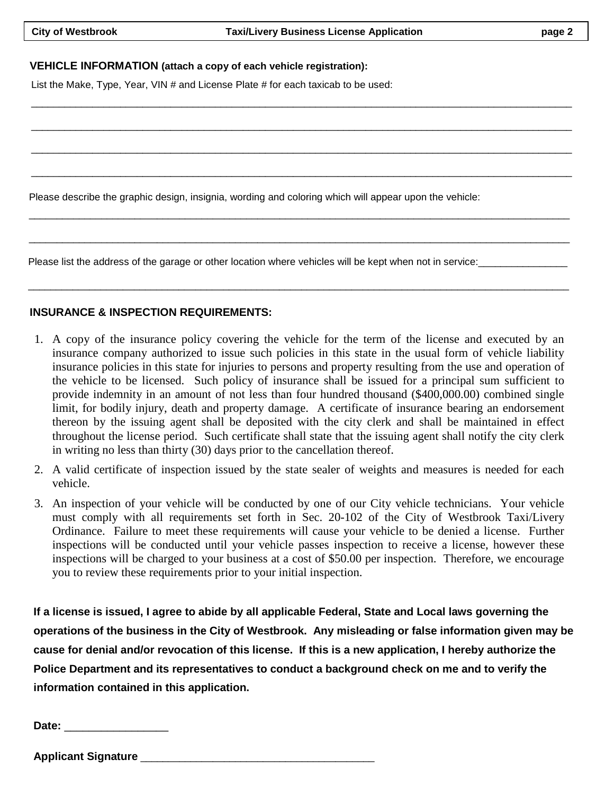$\Box$  . The contribution of the contribution of the contribution of the contribution of the contribution of the contribution of the contribution of the contribution of the contribution of the contribution of the contributi

\_\_\_\_\_\_\_\_\_\_\_\_\_\_\_\_\_\_\_\_\_\_\_\_\_\_\_\_\_\_\_\_\_\_\_\_\_\_\_\_\_\_\_\_\_\_\_\_\_\_\_\_\_\_\_\_\_\_\_\_\_\_\_\_\_\_\_\_\_\_\_\_\_\_\_\_\_\_\_\_\_\_\_\_\_\_\_\_\_\_\_\_\_\_\_\_\_

 $\Box$  . The contribution of the contribution of the contribution of the contribution of the contribution of the contribution of the contribution of the contribution of the contribution of the contribution of the contributi

\_\_\_\_\_\_\_\_\_\_\_\_\_\_\_\_\_\_\_\_\_\_\_\_\_\_\_\_\_\_\_\_\_\_\_\_\_\_\_\_\_\_\_\_\_\_\_\_\_\_\_\_\_\_\_\_\_\_\_\_\_\_\_\_\_\_\_\_\_\_\_\_\_\_\_\_\_\_\_\_\_\_\_\_\_\_\_\_\_\_\_\_\_\_\_\_\_

\_\_\_\_\_\_\_\_\_\_\_\_\_\_\_\_\_\_\_\_\_\_\_\_\_\_\_\_\_\_\_\_\_\_\_\_\_\_\_\_\_\_\_\_\_\_\_\_\_\_\_\_\_\_\_\_\_\_\_\_\_\_\_\_\_\_\_\_\_\_\_\_\_\_\_\_\_\_\_\_\_\_\_\_\_\_\_\_\_\_\_\_\_\_\_\_\_

\_\_\_\_\_\_\_\_\_\_\_\_\_\_\_\_\_\_\_\_\_\_\_\_\_\_\_\_\_\_\_\_\_\_\_\_\_\_\_\_\_\_\_\_\_\_\_\_\_\_\_\_\_\_\_\_\_\_\_\_\_\_\_\_\_\_\_\_\_\_\_\_\_\_\_\_\_\_\_\_\_\_\_\_\_\_\_\_\_\_\_\_\_\_\_\_\_

## **VEHICLE INFORMATION (attach a copy of each vehicle registration):**

List the Make, Type, Year, VIN # and License Plate # for each taxicab to be used:

Please describe the graphic design, insignia, wording and coloring which will appear upon the vehicle:

Please list the address of the garage or other location where vehicles will be kept when not in service:

## **INSURANCE & INSPECTION REQUIREMENTS:**

1. A copy of the insurance policy covering the vehicle for the term of the license and executed by an insurance company authorized to issue such policies in this state in the usual form of vehicle liability insurance policies in this state for injuries to persons and property resulting from the use and operation of the vehicle to be licensed. Such policy of insurance shall be issued for a principal sum sufficient to provide indemnity in an amount of not less than four hundred thousand (\$400,000.00) combined single limit, for bodily injury, death and property damage. A certificate of insurance bearing an endorsement thereon by the issuing agent shall be deposited with the city clerk and shall be maintained in effect throughout the license period. Such certificate shall state that the issuing agent shall notify the city clerk in writing no less than thirty (30) days prior to the cancellation thereof.

\_\_\_\_\_\_\_\_\_\_\_\_\_\_\_\_\_\_\_\_\_\_\_\_\_\_\_\_\_\_\_\_\_\_\_\_\_\_\_\_\_\_\_\_\_\_\_\_\_\_\_\_\_\_\_\_\_\_\_\_\_\_\_\_\_\_\_\_\_\_\_\_\_\_\_\_\_\_\_\_\_\_\_\_\_\_\_\_\_\_\_\_\_\_\_\_\_

- 2. A valid certificate of inspection issued by the state sealer of weights and measures is needed for each vehicle.
- 3. An inspection of your vehicle will be conducted by one of our City vehicle technicians. Your vehicle must comply with all requirements set forth in Sec. 20-102 of the City of Westbrook Taxi/Livery Ordinance. Failure to meet these requirements will cause your vehicle to be denied a license. Further inspections will be conducted until your vehicle passes inspection to receive a license, however these inspections will be charged to your business at a cost of \$50.00 per inspection. Therefore, we encourage you to review these requirements prior to your initial inspection.

**If a license is issued, I agree to abide by all applicable Federal, State and Local laws governing the operations of the business in the City of Westbrook. Any misleading or false information given may be cause for denial and/or revocation of this license. If this is a new application, I hereby authorize the Police Department and its representatives to conduct a background check on me and to verify the information contained in this application.**

| יate∶<br>$-$<br>_ |
|-------------------|
|-------------------|

**Applicant Signature** \_\_\_\_\_\_\_\_\_\_\_\_\_\_\_\_\_\_\_\_\_\_\_\_\_\_\_\_\_\_\_\_\_\_\_\_\_\_\_\_\_\_